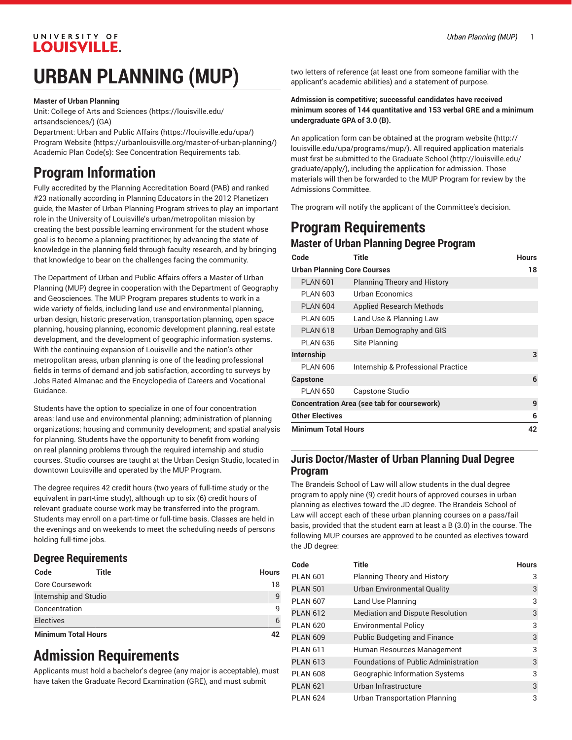#### UNIVERSITY OF **LOUISVILLE.**

# **URBAN PLANNING (MUP)**

**Master of Urban Planning**

Unit: College of Arts and [Sciences \(https://louisville.edu/](https://louisville.edu/artsandsciences/) [artsandsciences/\)](https://louisville.edu/artsandsciences/) (GA)

Department: [Urban and Public Affairs](https://louisville.edu/upa/) (<https://louisville.edu/upa/>) [Program](https://urbanlouisville.org/master-of-urban-planning/) Website [\(https://urbanlouisville.org/master-of-urban-planning/\)](https://urbanlouisville.org/master-of-urban-planning/) Academic Plan Code(s): See Concentration Requirements tab.

# **Program Information**

Fully accredited by the Planning Accreditation Board (PAB) and ranked #23 nationally according in Planning Educators in the 2012 Planetizen guide, the Master of Urban Planning Program strives to play an important role in the University of Louisville's urban/metropolitan mission by creating the best possible learning environment for the student whose goal is to become a planning practitioner, by advancing the state of knowledge in the planning field through faculty research, and by bringing that knowledge to bear on the challenges facing the community.

The Department of Urban and Public Affairs offers a Master of Urban Planning (MUP) degree in cooperation with the Department of Geography and Geosciences. The MUP Program prepares students to work in a wide variety of fields, including land use and environmental planning, urban design, historic preservation, transportation planning, open space planning, housing planning, economic development planning, real estate development, and the development of geographic information systems. With the continuing expansion of Louisville and the nation's other metropolitan areas, urban planning is one of the leading professional fields in terms of demand and job satisfaction, according to surveys by Jobs Rated Almanac and the Encyclopedia of Careers and Vocational Guidance.

Students have the option to specialize in one of four concentration areas: land use and environmental planning; administration of planning organizations; housing and community development; and spatial analysis for planning. Students have the opportunity to benefit from working on real planning problems through the required internship and studio courses. Studio courses are taught at the Urban Design Studio, located in downtown Louisville and operated by the MUP Program.

The degree requires 42 credit hours (two years of full-time study or the equivalent in part-time study), although up to six (6) credit hours of relevant graduate course work may be transferred into the program. Students may enroll on a part-time or full-time basis. Classes are held in the evenings and on weekends to meet the scheduling needs of persons holding full-time jobs.

#### **Degree Requirements**

| Code                       | Title | <b>Hours</b> |
|----------------------------|-------|--------------|
| Core Coursework            |       | 18           |
| Internship and Studio      |       | 9            |
| Concentration              |       | 9            |
| <b>Electives</b>           |       | 6            |
| <b>Minimum Total Hours</b> |       | 42           |

# **Admission Requirements**

Applicants must hold a bachelor's degree (any major is acceptable), must have taken the Graduate Record Examination (GRE), and must submit

two letters of reference (at least one from someone familiar with the applicant's academic abilities) and a statement of purpose.

#### **Admission is competitive; successful candidates have received minimum scores of 144 quantitative and 153 verbal GRE and a minimum undergraduate GPA of 3.0 (B).**

An application form can be obtained at the [program](http://louisville.edu/upa/programs/mup/) website [\(http://](http://louisville.edu/upa/programs/mup/) [louisville.edu/upa/programs/mup/\)](http://louisville.edu/upa/programs/mup/). All required application materials must first be submitted to the [Graduate School](http://louisville.edu/graduate/apply/) ([http://louisville.edu/](http://louisville.edu/graduate/apply/) [graduate/apply/\)](http://louisville.edu/graduate/apply/), including the application for admission. Those materials will then be forwarded to the MUP Program for review by the Admissions Committee.

The program will notify the applicant of the Committee's decision.

### **Program Requirements Master of Urban Planning Degree Program**

| Code                                               | Title                              | <b>Hours</b> |  |
|----------------------------------------------------|------------------------------------|--------------|--|
| <b>Urban Planning Core Courses</b>                 |                                    | 18           |  |
| <b>PLAN 601</b>                                    | <b>Planning Theory and History</b> |              |  |
| <b>PLAN 603</b>                                    | Urban Economics                    |              |  |
| <b>PLAN 604</b>                                    | <b>Applied Research Methods</b>    |              |  |
| <b>PLAN 605</b>                                    | Land Use & Planning Law            |              |  |
| <b>PLAN 618</b>                                    | Urban Demography and GIS           |              |  |
| <b>PLAN 636</b>                                    | Site Planning                      |              |  |
| <b>Internship</b>                                  |                                    | 3            |  |
| <b>PLAN 606</b>                                    | Internship & Professional Practice |              |  |
| <b>Capstone</b>                                    |                                    | 6            |  |
| <b>PLAN 650</b>                                    | Capstone Studio                    |              |  |
| <b>Concentration Area (see tab for coursework)</b> |                                    | 9            |  |
| <b>Other Electives</b>                             |                                    | 6            |  |
| <b>Minimum Total Hours</b>                         |                                    | 42           |  |

#### **Juris Doctor/Master of Urban Planning Dual Degree Program**

The Brandeis School of Law will allow students in the dual degree program to apply nine (9) credit hours of approved courses in urban planning as electives toward the JD degree. The Brandeis School of Law will accept each of these urban planning courses on a pass/fail basis, provided that the student earn at least a B (3.0) in the course. The following MUP courses are approved to be counted as electives toward the JD degree:

| Code            | <b>Title</b>                                | <b>Hours</b> |
|-----------------|---------------------------------------------|--------------|
| <b>PLAN 601</b> | <b>Planning Theory and History</b>          | 3            |
| <b>PLAN 501</b> | Urban Environmental Quality                 | 3            |
| <b>PLAN 607</b> | Land Use Planning                           | 3            |
| <b>PLAN 612</b> | <b>Mediation and Dispute Resolution</b>     | 3            |
| <b>PLAN 620</b> | <b>Environmental Policy</b>                 | 3            |
| <b>PLAN 609</b> | <b>Public Budgeting and Finance</b>         | 3            |
| <b>PLAN 611</b> | Human Resources Management                  | 3            |
| <b>PLAN 613</b> | <b>Foundations of Public Administration</b> | 3            |
| <b>PLAN 608</b> | <b>Geographic Information Systems</b>       | 3            |
| <b>PLAN 621</b> | Urban Infrastructure                        | 3            |
| <b>PLAN 624</b> | <b>Urban Transportation Planning</b>        | 3            |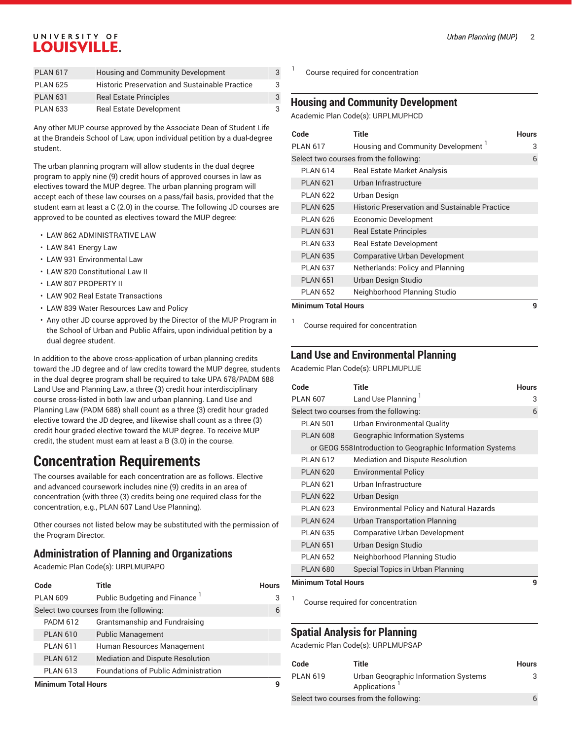#### UNIVERSITY OF **LOUISVILLE.**

| <b>PLAN 617</b> | <b>Housing and Community Development</b>       | 3 |
|-----------------|------------------------------------------------|---|
| <b>PLAN 625</b> | Historic Preservation and Sustainable Practice | 3 |
| <b>PLAN 631</b> | <b>Real Estate Principles</b>                  | 3 |
| <b>PLAN 633</b> | <b>Real Estate Development</b>                 | 3 |

Any other MUP course approved by the Associate Dean of Student Life at the Brandeis School of Law, upon individual petition by a dual-degree student.

The urban planning program will allow students in the dual degree program to apply nine (9) credit hours of approved courses in law as electives toward the MUP degree. The urban planning program will accept each of these law courses on a pass/fail basis, provided that the student earn at least a C (2.0) in the course. The following JD courses are approved to be counted as electives toward the MUP degree:

- LAW 862 ADMINISTRATIVE LAW
- LAW 841 Energy Law
- LAW 931 Environmental Law
- LAW 820 Constitutional Law II
- LAW 807 PROPERTY II
- LAW 902 Real Estate Transactions
- LAW 839 Water Resources Law and Policy
- Any other JD course approved by the Director of the MUP Program in the School of Urban and Public Affairs, upon individual petition by a dual degree student.

In addition to the above cross-application of urban planning credits toward the JD degree and of law credits toward the MUP degree, students in the dual degree program shall be required to take UPA 678/PADM 688 Land Use and Planning Law, a three (3) credit hour interdisciplinary course cross-listed in both law and urban planning. Land Use and Planning Law (PADM 688) shall count as a three (3) credit hour graded elective toward the JD degree, and likewise shall count as a three (3) credit hour graded elective toward the MUP degree. To receive MUP credit, the student must earn at least a B (3.0) in the course.

# **Concentration Requirements**

The courses available for each concentration are as follows. Elective and advanced coursework includes nine (9) credits in an area of concentration (with three (3) credits being one required class for the concentration, e.g., PLAN 607 Land Use Planning).

Other courses not listed below may be substituted with the permission of the Program Director.

#### **Administration of Planning and Organizations**

Academic Plan Code(s): URPLMUPAPO

| Code                | Title                                       | <b>Hours</b> |
|---------------------|---------------------------------------------|--------------|
| <b>PLAN 609</b>     | Public Budgeting and Finance <sup>1</sup>   | 3            |
|                     | Select two courses from the following:      | 6            |
| <b>PADM 612</b>     | Grantsmanship and Fundraising               |              |
| <b>PLAN 610</b>     | <b>Public Management</b>                    |              |
| <b>PLAN 611</b>     | Human Resources Management                  |              |
| <b>PLAN 612</b>     | <b>Mediation and Dispute Resolution</b>     |              |
| <b>PLAN 613</b>     | <b>Foundations of Public Administration</b> |              |
| Minimum Total Hours |                                             |              |

Course required for concentration

1

1

#### **Housing and Community Development**

Academic Plan Code(s): URPLMUPHCD

| Code                                   | Title                                          | <b>Hours</b> |
|----------------------------------------|------------------------------------------------|--------------|
| <b>PLAN 617</b>                        | Housing and Community Development 1            | 3            |
| Select two courses from the following: |                                                |              |
| <b>PI AN 614</b>                       | <b>Real Estate Market Analysis</b>             |              |
| <b>PLAN 621</b>                        | Urban Infrastructure                           |              |
| PI AN 622                              | Urban Design                                   |              |
| <b>PLAN 625</b>                        | Historic Preservation and Sustainable Practice |              |
| <b>PLAN 626</b>                        | Economic Development                           |              |
| <b>PLAN 631</b>                        | <b>Real Estate Principles</b>                  |              |
| <b>PLAN 633</b>                        | <b>Real Estate Development</b>                 |              |
| <b>PLAN 635</b>                        | <b>Comparative Urban Development</b>           |              |
| <b>PLAN 637</b>                        | Netherlands: Policy and Planning               |              |
| <b>PLAN 651</b>                        | Urban Design Studio                            |              |
| <b>PLAN 652</b>                        | Neighborhood Planning Studio                   |              |
| <b>Minimum Total Hours</b>             |                                                |              |

Course required for concentration

#### **Land Use and Environmental Planning**

Academic Plan Code(s): URPLMUPLUE

| Code            | Title                                                      | <b>Hours</b> |  |
|-----------------|------------------------------------------------------------|--------------|--|
| <b>PLAN 607</b> | Land Use Planning <sup>1</sup>                             | 3            |  |
|                 | Select two courses from the following:                     | 6            |  |
| <b>PLAN 501</b> | Urban Environmental Quality                                |              |  |
| <b>PLAN 608</b> | <b>Geographic Information Systems</b>                      |              |  |
|                 | or GEOG 558 Introduction to Geographic Information Systems |              |  |
| PI AN 612       | <b>Mediation and Dispute Resolution</b>                    |              |  |
| <b>PLAN 620</b> | <b>Environmental Policy</b>                                |              |  |
| <b>PLAN 621</b> | Urban Infrastructure                                       |              |  |
| <b>PLAN 622</b> | Urban Design                                               |              |  |
| <b>PLAN 623</b> | <b>Environmental Policy and Natural Hazards</b>            |              |  |
| <b>PLAN 624</b> | <b>Urban Transportation Planning</b>                       |              |  |
| <b>PLAN 635</b> | Comparative Urban Development                              |              |  |
| <b>PLAN 651</b> | Urban Design Studio                                        |              |  |
| <b>PLAN 652</b> | Neighborhood Planning Studio                               |              |  |
| <b>PLAN 680</b> | Special Topics in Urban Planning                           |              |  |
|                 | Minimum Total Houre<br>Ω                                   |              |  |

**Minimum Total Hours 9**

1

Course required for concentration

#### **Spatial Analysis for Planning**

Academic Plan Code(s): URPLMUPSAP

| Code                                   | Title                                                | <b>Hours</b> |
|----------------------------------------|------------------------------------------------------|--------------|
| <b>PLAN 619</b>                        | Urban Geographic Information Systems<br>Applications |              |
| Select two courses from the following: |                                                      | 6            |